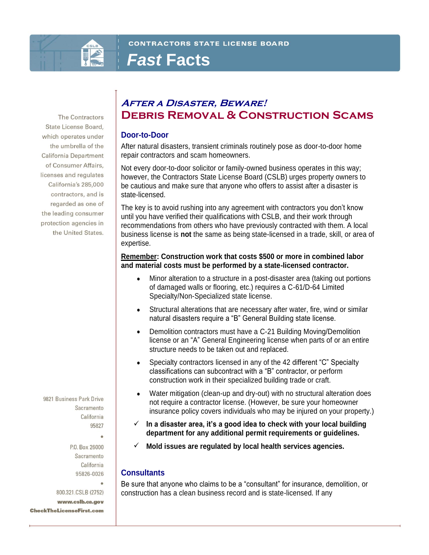

# *Fast* **Facts**

The Contractors State License Board, which operates under the umbrella of the California Department of Consumer Affairs, licenses and regulates California's 285,000 contractors, and is regarded as one of the leading consumer protection agencies in the United States.

9821 Business Park Drive Sacramento California 95827

> P.O. Box 26000 Sacramento California 95826-0026

800.321.CSLB (2752) www.cslb.ca.gov **CheckTheLicenseFirst.com** 

# **After a Disaster, Beware! Debris Removal & Construction Scams**

### **Door-to-Door**

After natural disasters, transient criminals routinely pose as door-to-door home repair contractors and scam homeowners.

Not every door-to-door solicitor or family-owned business operates in this way; however, the Contractors State License Board (CSLB) urges property owners to be cautious and make sure that anyone who offers to assist after a disaster is state-licensed.

The key is to avoid rushing into any agreement with contractors you don't know until you have verified their qualifications with CSLB, and their work through recommendations from others who have previously contracted with them. A local business license is **not** the same as being state-licensed in a trade, skill, or area of expertise.

#### **Remember: Construction work that costs \$500 or more in combined labor and material costs must be performed by a state-licensed contractor.**

- Minor alteration to a structure in a post-disaster area (taking out portions of damaged walls or flooring, etc.) requires a C-61/D-64 Limited Specialty/Non-Specialized state license.
- Structural alterations that are necessary after water, fire, wind or similar natural disasters require a "B" General Building state license.
- Demolition contractors must have a C-21 Building Moving/Demolition license or an "A" General Engineering license when parts of or an entire structure needs to be taken out and replaced.
- Specialty contractors licensed in any of the 42 different "C" Specialty classifications can subcontract with a "B" contractor, or perform construction work in their specialized building trade or craft.
- Water mitigation (clean-up and dry-out) with no structural alteration does not require a contractor license. (However, be sure your homeowner insurance policy covers individuals who may be injured on your property.)
- ✓ **In a disaster area, it's a good idea to check with your local building department for any additional permit requirements or guidelines.**
- ✓ **Mold issues are regulated by local health services agencies.**

### **Consultants**

Be sure that anyone who claims to be a "consultant" for insurance, demolition, or construction has a clean business record and is state-licensed. If any